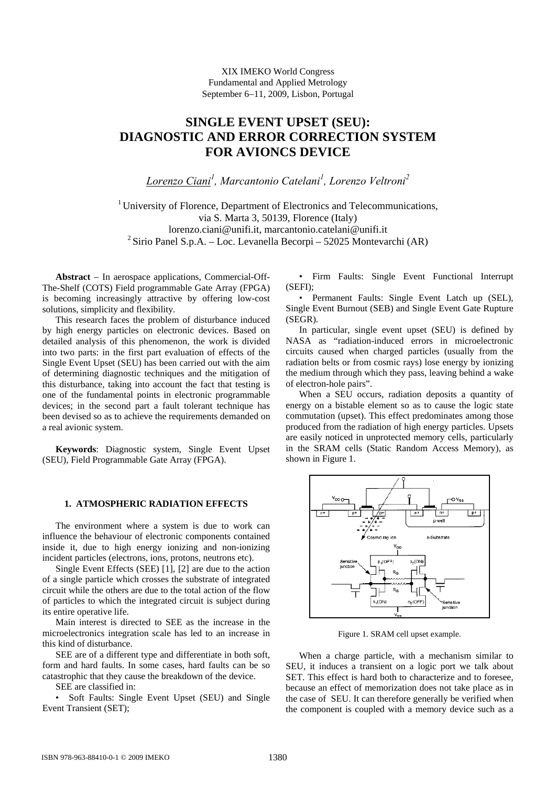XIX IMEKO World Congress Fundamental and Applied Metrology September 6−11, 2009, Lisbon, Portugal

# **SINGLE EVENT UPSET (SEU): DIAGNOSTIC AND ERROR CORRECTION SYSTEM FOR AVIONCS DEVICE**

*Lorenzo Ciani<sup>1</sup> , Marcantonio Catelani<sup>1</sup> , Lorenzo Veltroni2*

 $1$  University of Florence, Department of Electronics and Telecommunications, via S. Marta 3, 50139, Florence (Italy) lorenzo.ciani@unifi.it, marcantonio.catelani@unifi.it <sup>2</sup> Sirio Panel S.p.A. – Loc. Levanella Becorpi – 52025 Montevarchi (AR)

**Abstract** − In aerospace applications, Commercial-Off-The-Shelf (COTS) Field programmable Gate Array (FPGA) is becoming increasingly attractive by offering low-cost solutions, simplicity and flexibility.

This research faces the problem of disturbance induced by high energy particles on electronic devices. Based on detailed analysis of this phenomenon, the work is divided into two parts: in the first part evaluation of effects of the Single Event Upset (SEU) has been carried out with the aim of determining diagnostic techniques and the mitigation of this disturbance, taking into account the fact that testing is one of the fundamental points in electronic programmable devices; in the second part a fault tolerant technique has been devised so as to achieve the requirements demanded on a real avionic system.

**Keywords**: Diagnostic system, Single Event Upset (SEU), Field Programmable Gate Array (FPGA).

### **1. ATMOSPHERIC RADIATION EFFECTS**

The environment where a system is due to work can influence the behaviour of electronic components contained inside it, due to high energy ionizing and non-ionizing incident particles (electrons, ions, protons, neutrons etc).

Single Event Effects (SEE) [1], [2] are due to the action of a single particle which crosses the substrate of integrated circuit while the others are due to the total action of the flow of particles to which the integrated circuit is subject during its entire operative life.

Main interest is directed to SEE as the increase in the microelectronics integration scale has led to an increase in this kind of disturbance.

SEE are of a different type and differentiate in both soft, form and hard faults. In some cases, hard faults can be so catastrophic that they cause the breakdown of the device.

SEE are classified in:

• Soft Faults: Single Event Upset (SEU) and Single Event Transient (SET);

• Firm Faults: Single Event Functional Interrupt (SEFI);

• Permanent Faults: Single Event Latch up (SEL), Single Event Burnout (SEB) and Single Event Gate Rupture (SEGR).

In particular, single event upset (SEU) is defined by NASA as "radiation-induced errors in microelectronic circuits caused when charged particles (usually from the radiation belts or from cosmic rays) lose energy by ionizing the medium through which they pass, leaving behind a wake of electron-hole pairs".

When a SEU occurs, radiation deposits a quantity of energy on a bistable element so as to cause the logic state commutation (upset). This effect predominates among those produced from the radiation of high energy particles. Upsets are easily noticed in unprotected memory cells, particularly in the SRAM cells (Static Random Access Memory), as shown in Figure 1.



Figure 1. SRAM cell upset example.

When a charge particle, with a mechanism similar to SEU, it induces a transient on a logic port we talk about SET. This effect is hard both to characterize and to foresee, because an effect of memorization does not take place as in the case of SEU. It can therefore generally be verified when the component is coupled with a memory device such as a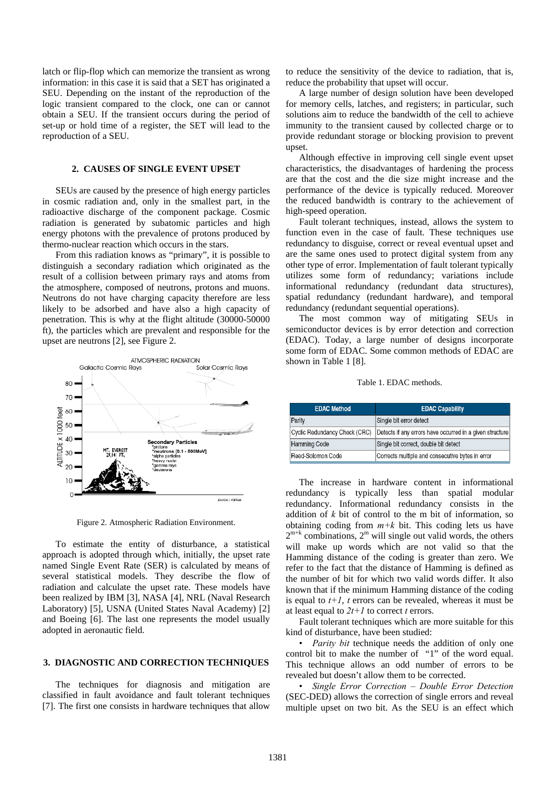latch or flip-flop which can memorize the transient as wrong information: in this case it is said that a SET has originated a SEU. Depending on the instant of the reproduction of the logic transient compared to the clock, one can or cannot obtain a SEU. If the transient occurs during the period of set-up or hold time of a register, the SET will lead to the reproduction of a SEU.

## **2. CAUSES OF SINGLE EVENT UPSET**

SEUs are caused by the presence of high energy particles in cosmic radiation and, only in the smallest part, in the radioactive discharge of the component package. Cosmic radiation is generated by subatomic particles and high energy photons with the prevalence of protons produced by thermo-nuclear reaction which occurs in the stars.

From this radiation knows as "primary", it is possible to distinguish a secondary radiation which originated as the result of a collision between primary rays and atoms from the atmosphere, composed of neutrons, protons and muons. Neutrons do not have charging capacity therefore are less likely to be adsorbed and have also a high capacity of penetration. This is why at the flight altitude (30000-50000 ft), the particles which are prevalent and responsible for the upset are neutrons [2], see Figure 2.



Figure 2. Atmospheric Radiation Environment.

To estimate the entity of disturbance, a statistical approach is adopted through which, initially, the upset rate named Single Event Rate (SER) is calculated by means of several statistical models. They describe the flow of radiation and calculate the upset rate. These models have been realized by IBM [3], NASA [4], NRL (Naval Research Laboratory) [5], USNA (United States Naval Academy) [2] and Boeing [6]. The last one represents the model usually adopted in aeronautic field.

#### **3. DIAGNOSTIC AND CORRECTION TECHNIQUES**

The techniques for diagnosis and mitigation are classified in fault avoidance and fault tolerant techniques [7]. The first one consists in hardware techniques that allow to reduce the sensitivity of the device to radiation, that is, reduce the probability that upset will occur.

A large number of design solution have been developed for memory cells, latches, and registers; in particular, such solutions aim to reduce the bandwidth of the cell to achieve immunity to the transient caused by collected charge or to provide redundant storage or blocking provision to prevent upset.

Although effective in improving cell single event upset characteristics, the disadvantages of hardening the process are that the cost and the die size might increase and the performance of the device is typically reduced. Moreover the reduced bandwidth is contrary to the achievement of high-speed operation.

Fault tolerant techniques, instead, allows the system to function even in the case of fault. These techniques use redundancy to disguise, correct or reveal eventual upset and are the same ones used to protect digital system from any other type of error. Implementation of fault tolerant typically utilizes some form of redundancy; variations include informational redundancy (redundant data structures), spatial redundancy (redundant hardware), and temporal redundancy (redundant sequential operations).

The most common way of mitigating SEUs in semiconductor devices is by error detection and correction (EDAC). Today, a large number of designs incorporate some form of EDAC. Some common methods of EDAC are shown in Table 1 [8].

#### Table 1. EDAC methods.

| <b>EDAC Method</b>            | <b>EDAC Capability</b>                                   |  |  |
|-------------------------------|----------------------------------------------------------|--|--|
| Parity                        | Single bit error detect                                  |  |  |
| Cyclic Redundancy Check (CRC) | Detects if any errors have occurred in a given structure |  |  |
| <b>Hamming Code</b>           | Single bit correct, double bit detect                    |  |  |
| Reed-Solomon Code             | Corrects multiple and consecutive bytes in error         |  |  |

The increase in hardware content in informational redundancy is typically less than spatial modular redundancy. Informational redundancy consists in the addition of *k* bit of control to the m bit of information, so obtaining coding from  $m+k$  bit. This coding lets us have  $2^{m+k}$  combinations,  $2^m$  will single out valid words, the others will make up words which are not valid so that the Hamming distance of the coding is greater than zero. We refer to the fact that the distance of Hamming is defined as the number of bit for which two valid words differ. It also known that if the minimum Hamming distance of the coding is equal to  $t+1$ ,  $t$  errors can be revealed, whereas it must be at least equal to *2t+1* to correct *t* errors.

Fault tolerant techniques which are more suitable for this kind of disturbance, have been studied:

• *Parity bit* technique needs the addition of only one control bit to make the number of "1" of the word equal. This technique allows an odd number of errors to be revealed but doesn't allow them to be corrected.

• *Single Error Correction – Double Error Detection* (SEC-DED) allows the correction of single errors and reveal multiple upset on two bit. As the SEU is an effect which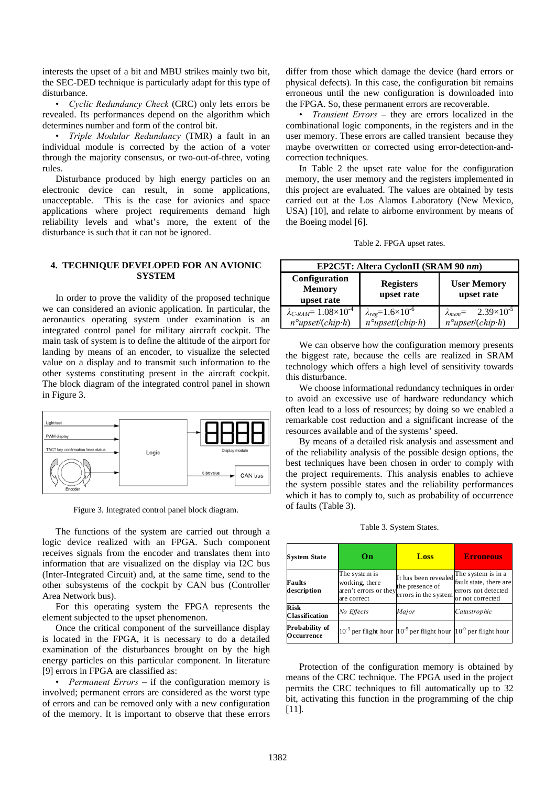interests the upset of a bit and MBU strikes mainly two bit, the SEC-DED technique is particularly adapt for this type of disturbance.

• *Cyclic Redundancy Check* (CRC) only lets errors be revealed. Its performances depend on the algorithm which determines number and form of the control bit.

• *Triple Modular Redundancy* (TMR) a fault in an individual module is corrected by the action of a voter through the majority consensus, or two-out-of-three, voting rules.

Disturbance produced by high energy particles on an electronic device can result, in some applications, unacceptable. This is the case for avionics and space applications where project requirements demand high reliability levels and what's more, the extent of the disturbance is such that it can not be ignored.

# **4. TECHNIQUE DEVELOPED FOR AN AVIONIC SYSTEM**

In order to prove the validity of the proposed technique we can considered an avionic application. In particular, the aeronautics operating system under examination is an integrated control panel for military aircraft cockpit. The main task of system is to define the altitude of the airport for landing by means of an encoder, to visualize the selected value on a display and to transmit such information to the other systems constituting present in the aircraft cockpit. The block diagram of the integrated control panel in shown in Figure 3.



Figure 3. Integrated control panel block diagram.

The functions of the system are carried out through a logic device realized with an FPGA. Such component receives signals from the encoder and translates them into information that are visualized on the display via I2C bus (Inter-Integrated Circuit) and, at the same time, send to the other subsystems of the cockpit by CAN bus (Controller Area Network bus).

For this operating system the FPGA represents the element subjected to the upset phenomenon.

Once the critical component of the surveillance display is located in the FPGA, it is necessary to do a detailed examination of the disturbances brought on by the high energy particles on this particular component. In literature [9] errors in FPGA are classified as:

• *Permanent Errors* – if the configuration memory is involved; permanent errors are considered as the worst type of errors and can be removed only with a new configuration of the memory. It is important to observe that these errors differ from those which damage the device (hard errors or physical defects). In this case, the configuration bit remains erroneous until the new configuration is downloaded into the FPGA. So, these permanent errors are recoverable.

• *Transient Errors* – they are errors localized in the combinational logic components, in the registers and in the user memory. These errors are called transient because they maybe overwritten or corrected using error-detection-andcorrection techniques.

In Table 2 the upset rate value for the configuration memory, the user memory and the registers implemented in this project are evaluated. The values are obtained by tests carried out at the Los Alamos Laboratory (New Mexico, USA) [10], and relate to airborne environment by means of the Boeing model [6].

|  |  | Table 2. FPGA upset rates. |
|--|--|----------------------------|
|--|--|----------------------------|

| EP2C5T: Altera CyclonII (SRAM 90 nm)                                                  |                                                                    |                                                                     |  |  |  |
|---------------------------------------------------------------------------------------|--------------------------------------------------------------------|---------------------------------------------------------------------|--|--|--|
| Configuration<br><b>Memory</b><br>upset rate                                          | <b>Registers</b><br>upset rate                                     | <b>User Memory</b><br>upset rate                                    |  |  |  |
| $\lambda_{C\text{-}RAM} = 1.08 \times 10^{-4}$<br>$n^{\circ}$ upset/(chip $\cdot h$ ) | $\lambda_{reg} = 1.6 \times 10^{-6}$<br>$n^{\circ}$ upset/(chip·h) | $\lambda_{mem} = 2.39 \times 10^{-5}$<br>$n^{\circ}$ upset/(chip·h) |  |  |  |

We can observe how the configuration memory presents the biggest rate, because the cells are realized in SRAM technology which offers a high level of sensitivity towards this disturbance.

We choose informational redundancy techniques in order to avoid an excessive use of hardware redundancy which often lead to a loss of resources; by doing so we enabled a remarkable cost reduction and a significant increase of the resources available and of the systems' speed.

By means of a detailed risk analysis and assessment and of the reliability analysis of the possible design options, the best techniques have been chosen in order to comply with the project requirements. This analysis enables to achieve the system possible states and the reliability performances which it has to comply to, such as probability of occurrence of faults (Table 3).

Table 3. System States.

| <b>System State</b>                  | On                                                                      | Loss                                                                          | <b>Erroneous</b>                                                                        |
|--------------------------------------|-------------------------------------------------------------------------|-------------------------------------------------------------------------------|-----------------------------------------------------------------------------------------|
| Faults<br>description                | The system is<br>working, there<br>aren't errors or they<br>are correct | It has been revealed<br>the presence of<br>errors in the system               | The system is in a<br>fault state, there are<br>errors not detected<br>or not corrected |
| <b>Risk</b><br><b>Classification</b> | No Effects                                                              | Major                                                                         | Catastrophic                                                                            |
| Probability of<br>Occurrence         |                                                                         | $10^{-3}$ per flight hour $10^{-5}$ per flight hour $10^{-9}$ per flight hour |                                                                                         |

Protection of the configuration memory is obtained by means of the CRC technique. The FPGA used in the project permits the CRC techniques to fill automatically up to 32 bit, activating this function in the programming of the chip [11].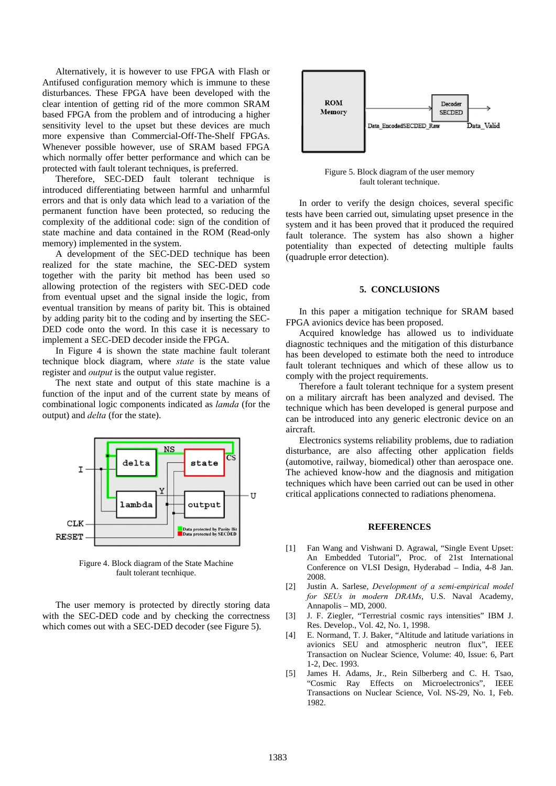Alternatively, it is however to use FPGA with Flash or Antifused configuration memory which is immune to these disturbances. These FPGA have been developed with the clear intention of getting rid of the more common SRAM based FPGA from the problem and of introducing a higher sensitivity level to the upset but these devices are much more expensive than Commercial-Off-The-Shelf FPGAs. Whenever possible however, use of SRAM based FPGA which normally offer better performance and which can be protected with fault tolerant techniques, is preferred.

Therefore, SEC-DED fault tolerant technique is introduced differentiating between harmful and unharmful errors and that is only data which lead to a variation of the permanent function have been protected, so reducing the complexity of the additional code: sign of the condition of state machine and data contained in the ROM (Read-only memory) implemented in the system.

A development of the SEC-DED technique has been realized for the state machine, the SEC-DED system together with the parity bit method has been used so allowing protection of the registers with SEC-DED code from eventual upset and the signal inside the logic, from eventual transition by means of parity bit. This is obtained by adding parity bit to the coding and by inserting the SEC-DED code onto the word. In this case it is necessary to implement a SEC-DED decoder inside the FPGA.

In Figure 4 is shown the state machine fault tolerant technique block diagram, where *state* is the state value register and *output* is the output value register.

The next state and output of this state machine is a function of the input and of the current state by means of combinational logic components indicated as *lamda* (for the output) and *delta* (for the state).



Figure 4. Block diagram of the State Machine fault tolerant tecnhique.

The user memory is protected by directly storing data with the SEC-DED code and by checking the correctness which comes out with a SEC-DED decoder (see Figure 5).



Figure 5. Block diagram of the user memory fault tolerant technique.

In order to verify the design choices, several specific tests have been carried out, simulating upset presence in the system and it has been proved that it produced the required fault tolerance. The system has also shown a higher potentiality than expected of detecting multiple faults (quadruple error detection).

#### **5. CONCLUSIONS**

In this paper a mitigation technique for SRAM based FPGA avionics device has been proposed.

Acquired knowledge has allowed us to individuate diagnostic techniques and the mitigation of this disturbance has been developed to estimate both the need to introduce fault tolerant techniques and which of these allow us to comply with the project requirements.

Therefore a fault tolerant technique for a system present on a military aircraft has been analyzed and devised. The technique which has been developed is general purpose and can be introduced into any generic electronic device on an aircraft.

Electronics systems reliability problems, due to radiation disturbance, are also affecting other application fields (automotive, railway, biomedical) other than aerospace one. The achieved know-how and the diagnosis and mitigation techniques which have been carried out can be used in other critical applications connected to radiations phenomena.

# **REFERENCES**

- Conference on VLSI Design, Hyderabad India, 4-8 Jan. [1] Fan Wang and Vishwani D. Agrawal, "Single Event Upset: An Embedded Tutorial", Proc. of 21st International 2008.
- [2] Justin A. Sarlese, *Development of a semi-empirical model for SEUs in modern DRAMs*, U.S. Naval Academy, Annapolis – MD, 2000.
- [3] J. F. Ziegler, "Terrestrial cosmic rays intensities" IBM J. Res. Develop., Vol. 42, No. 1, 1998.
- [4] E. Normand, T. J. Baker, "Altitude and latitude variations in avionics SEU and atmospheric neutron flux", IEEE Transaction on Nuclear Science, Volume: 40, Issue: 6, Part 1-2, Dec. 1993.
- [5] James H. Adams, Jr., Rein Silberberg and C. H. Tsao, "Cosmic Ray Effects on Microelectronics", IEEE Transactions on Nuclear Science, Vol. NS-29, No. 1, Feb. 1982.